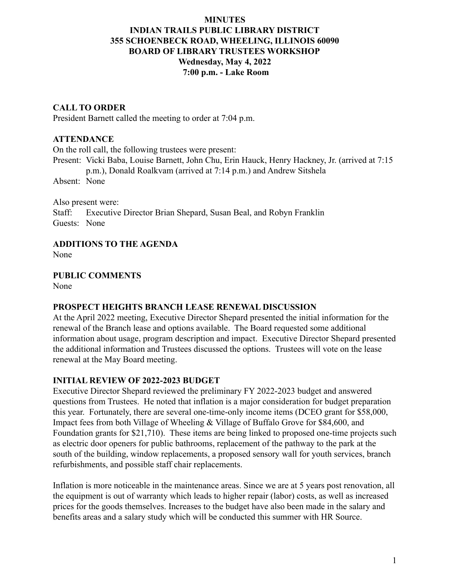### **MINUTES INDIAN TRAILS PUBLIC LIBRARY DISTRICT 355 SCHOENBECK ROAD, WHEELING, ILLINOIS 60090 BOARD OF LIBRARY TRUSTEES WORKSHOP Wednesday, May 4, 2022 7:00 p.m. - Lake Room**

### **CALL TO ORDER**

President Barnett called the meeting to order at 7:04 p.m.

### **ATTENDANCE**

On the roll call, the following trustees were present:

Present: Vicki Baba, Louise Barnett, John Chu, Erin Hauck, Henry Hackney, Jr. (arrived at 7:15 p.m.), Donald Roalkvam (arrived at 7:14 p.m.) and Andrew Sitshela Absent: None

Also present were: Staff: Executive Director Brian Shepard, Susan Beal, and Robyn Franklin Guests: None

## **ADDITIONS TO THE AGENDA**

None

**PUBLIC COMMENTS**

None

# **PROSPECT HEIGHTS BRANCH LEASE RENEWAL DISCUSSION**

At the April 2022 meeting, Executive Director Shepard presented the initial information for the renewal of the Branch lease and options available. The Board requested some additional information about usage, program description and impact. Executive Director Shepard presented the additional information and Trustees discussed the options. Trustees will vote on the lease renewal at the May Board meeting.

### **INITIAL REVIEW OF 2022-2023 BUDGET**

Executive Director Shepard reviewed the preliminary FY 2022-2023 budget and answered questions from Trustees. He noted that inflation is a major consideration for budget preparation this year. Fortunately, there are several one-time-only income items (DCEO grant for \$58,000, Impact fees from both Village of Wheeling & Village of Buffalo Grove for \$84,600, and Foundation grants for \$21,710). These items are being linked to proposed one-time projects such as electric door openers for public bathrooms, replacement of the pathway to the park at the south of the building, window replacements, a proposed sensory wall for youth services, branch refurbishments, and possible staff chair replacements.

Inflation is more noticeable in the maintenance areas. Since we are at 5 years post renovation, all the equipment is out of warranty which leads to higher repair (labor) costs, as well as increased prices for the goods themselves. Increases to the budget have also been made in the salary and benefits areas and a salary study which will be conducted this summer with HR Source.